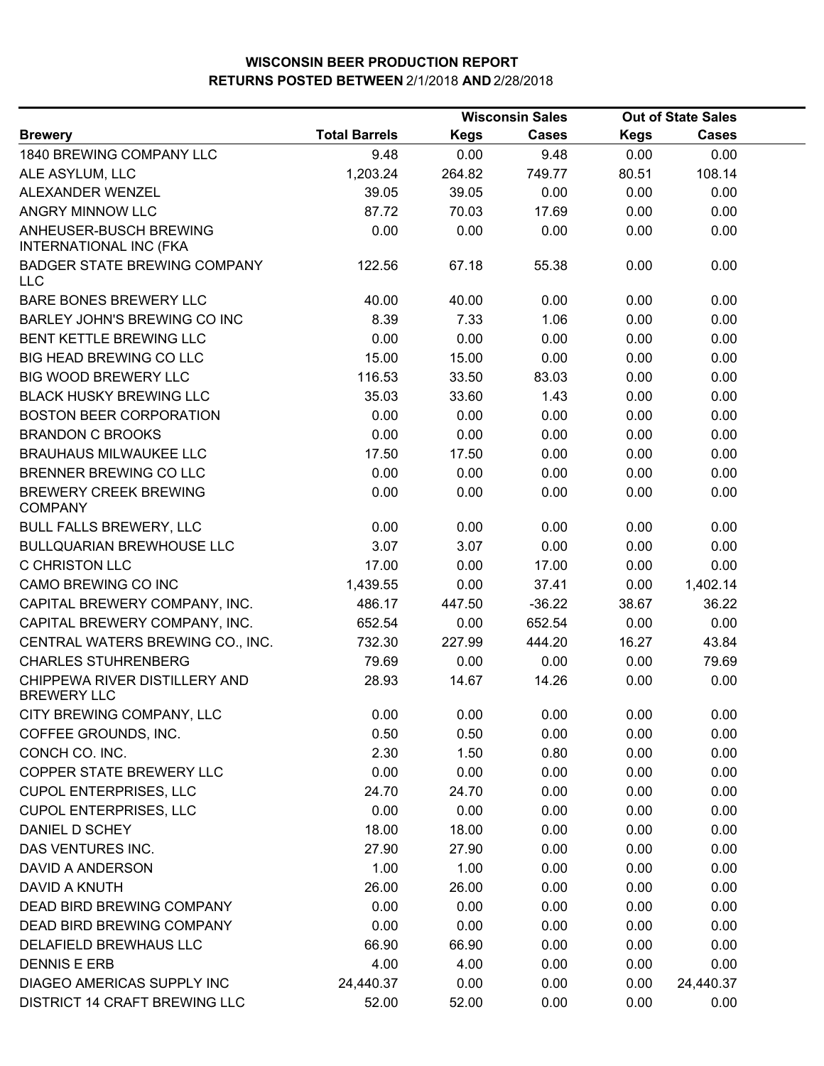|                                                     |                      |             | <b>Wisconsin Sales</b> | <b>Out of State Sales</b> |              |  |
|-----------------------------------------------------|----------------------|-------------|------------------------|---------------------------|--------------|--|
| <b>Brewery</b>                                      | <b>Total Barrels</b> | <b>Kegs</b> | <b>Cases</b>           | <b>Kegs</b>               | <b>Cases</b> |  |
| 1840 BREWING COMPANY LLC                            | 9.48                 | 0.00        | 9.48                   | 0.00                      | 0.00         |  |
| ALE ASYLUM, LLC                                     | 1,203.24             | 264.82      | 749.77                 | 80.51                     | 108.14       |  |
| ALEXANDER WENZEL                                    | 39.05                | 39.05       | 0.00                   | 0.00                      | 0.00         |  |
| ANGRY MINNOW LLC                                    | 87.72                | 70.03       | 17.69                  | 0.00                      | 0.00         |  |
| ANHEUSER-BUSCH BREWING<br>INTERNATIONAL INC (FKA    | 0.00                 | 0.00        | 0.00                   | 0.00                      | 0.00         |  |
| <b>BADGER STATE BREWING COMPANY</b><br><b>LLC</b>   | 122.56               | 67.18       | 55.38                  | 0.00                      | 0.00         |  |
| <b>BARE BONES BREWERY LLC</b>                       | 40.00                | 40.00       | 0.00                   | 0.00                      | 0.00         |  |
| <b>BARLEY JOHN'S BREWING CO INC</b>                 | 8.39                 | 7.33        | 1.06                   | 0.00                      | 0.00         |  |
| BENT KETTLE BREWING LLC                             | 0.00                 | 0.00        | 0.00                   | 0.00                      | 0.00         |  |
| BIG HEAD BREWING CO LLC                             | 15.00                | 15.00       | 0.00                   | 0.00                      | 0.00         |  |
| <b>BIG WOOD BREWERY LLC</b>                         | 116.53               | 33.50       | 83.03                  | 0.00                      | 0.00         |  |
| <b>BLACK HUSKY BREWING LLC</b>                      | 35.03                | 33.60       | 1.43                   | 0.00                      | 0.00         |  |
| <b>BOSTON BEER CORPORATION</b>                      | 0.00                 | 0.00        | 0.00                   | 0.00                      | 0.00         |  |
| <b>BRANDON C BROOKS</b>                             | 0.00                 | 0.00        | 0.00                   | 0.00                      | 0.00         |  |
| <b>BRAUHAUS MILWAUKEE LLC</b>                       | 17.50                | 17.50       | 0.00                   | 0.00                      | 0.00         |  |
| BRENNER BREWING CO LLC                              | 0.00                 | 0.00        | 0.00                   | 0.00                      | 0.00         |  |
| <b>BREWERY CREEK BREWING</b><br><b>COMPANY</b>      | 0.00                 | 0.00        | 0.00                   | 0.00                      | 0.00         |  |
| <b>BULL FALLS BREWERY, LLC</b>                      | 0.00                 | 0.00        | 0.00                   | 0.00                      | 0.00         |  |
| <b>BULLQUARIAN BREWHOUSE LLC</b>                    | 3.07                 | 3.07        | 0.00                   | 0.00                      | 0.00         |  |
| <b>C CHRISTON LLC</b>                               | 17.00                | 0.00        | 17.00                  | 0.00                      | 0.00         |  |
| CAMO BREWING CO INC                                 | 1,439.55             | 0.00        | 37.41                  | 0.00                      | 1,402.14     |  |
| CAPITAL BREWERY COMPANY, INC.                       | 486.17               | 447.50      | $-36.22$               | 38.67                     | 36.22        |  |
| CAPITAL BREWERY COMPANY, INC.                       | 652.54               | 0.00        | 652.54                 | 0.00                      | 0.00         |  |
| CENTRAL WATERS BREWING CO., INC.                    | 732.30               | 227.99      | 444.20                 | 16.27                     | 43.84        |  |
| <b>CHARLES STUHRENBERG</b>                          | 79.69                | 0.00        | 0.00                   | 0.00                      | 79.69        |  |
| CHIPPEWA RIVER DISTILLERY AND<br><b>BREWERY LLC</b> | 28.93                | 14.67       | 14.26                  | 0.00                      | 0.00         |  |
| CITY BREWING COMPANY, LLC                           | 0.00                 | 0.00        | 0.00                   | 0.00                      | 0.00         |  |
| COFFEE GROUNDS, INC.                                | 0.50                 | 0.50        | 0.00                   | 0.00                      | 0.00         |  |
| CONCH CO. INC.                                      | 2.30                 | 1.50        | 0.80                   | 0.00                      | 0.00         |  |
| COPPER STATE BREWERY LLC                            | 0.00                 | 0.00        | 0.00                   | 0.00                      | 0.00         |  |
| <b>CUPOL ENTERPRISES, LLC</b>                       | 24.70                | 24.70       | 0.00                   | 0.00                      | 0.00         |  |
| <b>CUPOL ENTERPRISES, LLC</b>                       | 0.00                 | 0.00        | 0.00                   | 0.00                      | 0.00         |  |
| DANIEL D SCHEY                                      | 18.00                | 18.00       | 0.00                   | 0.00                      | 0.00         |  |
| DAS VENTURES INC.                                   | 27.90                | 27.90       | 0.00                   | 0.00                      | 0.00         |  |
| DAVID A ANDERSON                                    | 1.00                 | 1.00        | 0.00                   | 0.00                      | 0.00         |  |
| DAVID A KNUTH                                       | 26.00                | 26.00       | 0.00                   | 0.00                      | 0.00         |  |
| DEAD BIRD BREWING COMPANY                           | 0.00                 | 0.00        | 0.00                   | 0.00                      | 0.00         |  |
| DEAD BIRD BREWING COMPANY                           | 0.00                 | 0.00        | 0.00                   | 0.00                      | 0.00         |  |
| DELAFIELD BREWHAUS LLC                              | 66.90                | 66.90       | 0.00                   | 0.00                      | 0.00         |  |
| <b>DENNIS E ERB</b>                                 | 4.00                 | 4.00        | 0.00                   | 0.00                      | 0.00         |  |
| DIAGEO AMERICAS SUPPLY INC                          | 24,440.37            | 0.00        | 0.00                   | 0.00                      | 24,440.37    |  |
| DISTRICT 14 CRAFT BREWING LLC                       | 52.00                | 52.00       | 0.00                   | 0.00                      | 0.00         |  |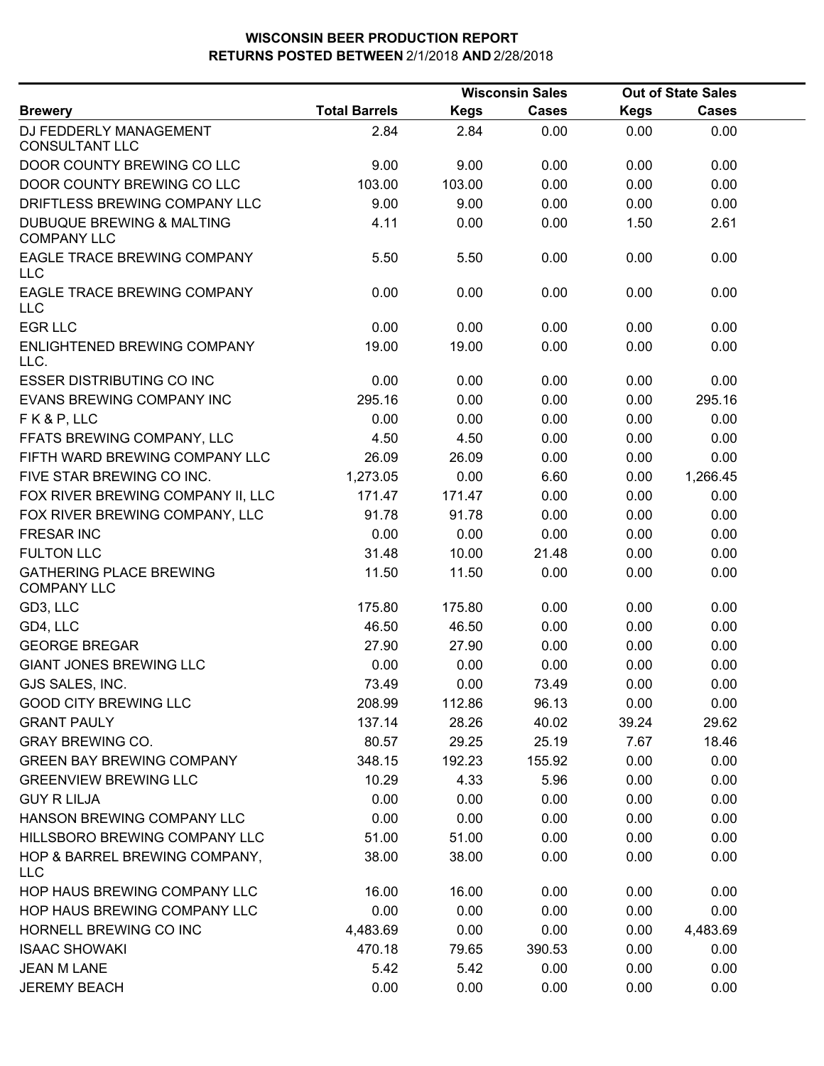|                                                            |                      |             | <b>Wisconsin Sales</b> |             | <b>Out of State Sales</b> |  |
|------------------------------------------------------------|----------------------|-------------|------------------------|-------------|---------------------------|--|
| <b>Brewery</b>                                             | <b>Total Barrels</b> | <b>Kegs</b> | <b>Cases</b>           | <b>Kegs</b> | <b>Cases</b>              |  |
| DJ FEDDERLY MANAGEMENT<br><b>CONSULTANT LLC</b>            | 2.84                 | 2.84        | 0.00                   | 0.00        | 0.00                      |  |
| DOOR COUNTY BREWING CO LLC                                 | 9.00                 | 9.00        | 0.00                   | 0.00        | 0.00                      |  |
| DOOR COUNTY BREWING CO LLC                                 | 103.00               | 103.00      | 0.00                   | 0.00        | 0.00                      |  |
| DRIFTLESS BREWING COMPANY LLC                              | 9.00                 | 9.00        | 0.00                   | 0.00        | 0.00                      |  |
| <b>DUBUQUE BREWING &amp; MALTING</b><br><b>COMPANY LLC</b> | 4.11                 | 0.00        | 0.00                   | 1.50        | 2.61                      |  |
| EAGLE TRACE BREWING COMPANY<br><b>LLC</b>                  | 5.50                 | 5.50        | 0.00                   | 0.00        | 0.00                      |  |
| EAGLE TRACE BREWING COMPANY<br>LLC                         | 0.00                 | 0.00        | 0.00                   | 0.00        | 0.00                      |  |
| <b>EGR LLC</b>                                             | 0.00                 | 0.00        | 0.00                   | 0.00        | 0.00                      |  |
| ENLIGHTENED BREWING COMPANY<br>LLC.                        | 19.00                | 19.00       | 0.00                   | 0.00        | 0.00                      |  |
| <b>ESSER DISTRIBUTING CO INC</b>                           | 0.00                 | 0.00        | 0.00                   | 0.00        | 0.00                      |  |
| EVANS BREWING COMPANY INC                                  | 295.16               | 0.00        | 0.00                   | 0.00        | 295.16                    |  |
| FK&P, LLC                                                  | 0.00                 | 0.00        | 0.00                   | 0.00        | 0.00                      |  |
| FFATS BREWING COMPANY, LLC                                 | 4.50                 | 4.50        | 0.00                   | 0.00        | 0.00                      |  |
| FIFTH WARD BREWING COMPANY LLC                             | 26.09                | 26.09       | 0.00                   | 0.00        | 0.00                      |  |
| FIVE STAR BREWING CO INC.                                  | 1,273.05             | 0.00        | 6.60                   | 0.00        | 1,266.45                  |  |
| FOX RIVER BREWING COMPANY II, LLC                          | 171.47               | 171.47      | 0.00                   | 0.00        | 0.00                      |  |
| FOX RIVER BREWING COMPANY, LLC                             | 91.78                | 91.78       | 0.00                   | 0.00        | 0.00                      |  |
| <b>FRESAR INC</b>                                          | 0.00                 | 0.00        | 0.00                   | 0.00        | 0.00                      |  |
| <b>FULTON LLC</b>                                          | 31.48                | 10.00       | 21.48                  | 0.00        | 0.00                      |  |
| <b>GATHERING PLACE BREWING</b><br><b>COMPANY LLC</b>       | 11.50                | 11.50       | 0.00                   | 0.00        | 0.00                      |  |
| GD3, LLC                                                   | 175.80               | 175.80      | 0.00                   | 0.00        | 0.00                      |  |
| GD4, LLC                                                   | 46.50                | 46.50       | 0.00                   | 0.00        | 0.00                      |  |
| <b>GEORGE BREGAR</b>                                       | 27.90                | 27.90       | 0.00                   | 0.00        | 0.00                      |  |
| <b>GIANT JONES BREWING LLC</b>                             | 0.00                 | 0.00        | 0.00                   | 0.00        | 0.00                      |  |
| GJS SALES, INC.                                            | 73.49                | 0.00        | 73.49                  | 0.00        | 0.00                      |  |
| <b>GOOD CITY BREWING LLC</b>                               | 208.99               | 112.86      | 96.13                  | 0.00        | 0.00                      |  |
| <b>GRANT PAULY</b>                                         | 137.14               | 28.26       | 40.02                  | 39.24       | 29.62                     |  |
| <b>GRAY BREWING CO.</b>                                    | 80.57                | 29.25       | 25.19                  | 7.67        | 18.46                     |  |
| <b>GREEN BAY BREWING COMPANY</b>                           | 348.15               | 192.23      | 155.92                 | 0.00        | 0.00                      |  |
| <b>GREENVIEW BREWING LLC</b>                               | 10.29                | 4.33        | 5.96                   | 0.00        | 0.00                      |  |
| <b>GUY R LILJA</b>                                         | 0.00                 | 0.00        | 0.00                   | 0.00        | 0.00                      |  |
| HANSON BREWING COMPANY LLC                                 | 0.00                 | 0.00        | 0.00                   | 0.00        | 0.00                      |  |
| HILLSBORO BREWING COMPANY LLC                              | 51.00                | 51.00       | 0.00                   | 0.00        | 0.00                      |  |
| HOP & BARREL BREWING COMPANY,<br><b>LLC</b>                | 38.00                | 38.00       | 0.00                   | 0.00        | 0.00                      |  |
| HOP HAUS BREWING COMPANY LLC                               | 16.00                | 16.00       | 0.00                   | 0.00        | 0.00                      |  |
| HOP HAUS BREWING COMPANY LLC                               | 0.00                 | 0.00        | 0.00                   | 0.00        | 0.00                      |  |
| HORNELL BREWING CO INC                                     | 4,483.69             | 0.00        | 0.00                   | 0.00        | 4,483.69                  |  |
| <b>ISAAC SHOWAKI</b>                                       | 470.18               | 79.65       | 390.53                 | 0.00        | 0.00                      |  |
| <b>JEAN M LANE</b>                                         | 5.42                 | 5.42        | 0.00                   | 0.00        | 0.00                      |  |
| <b>JEREMY BEACH</b>                                        | 0.00                 | 0.00        | 0.00                   | 0.00        | 0.00                      |  |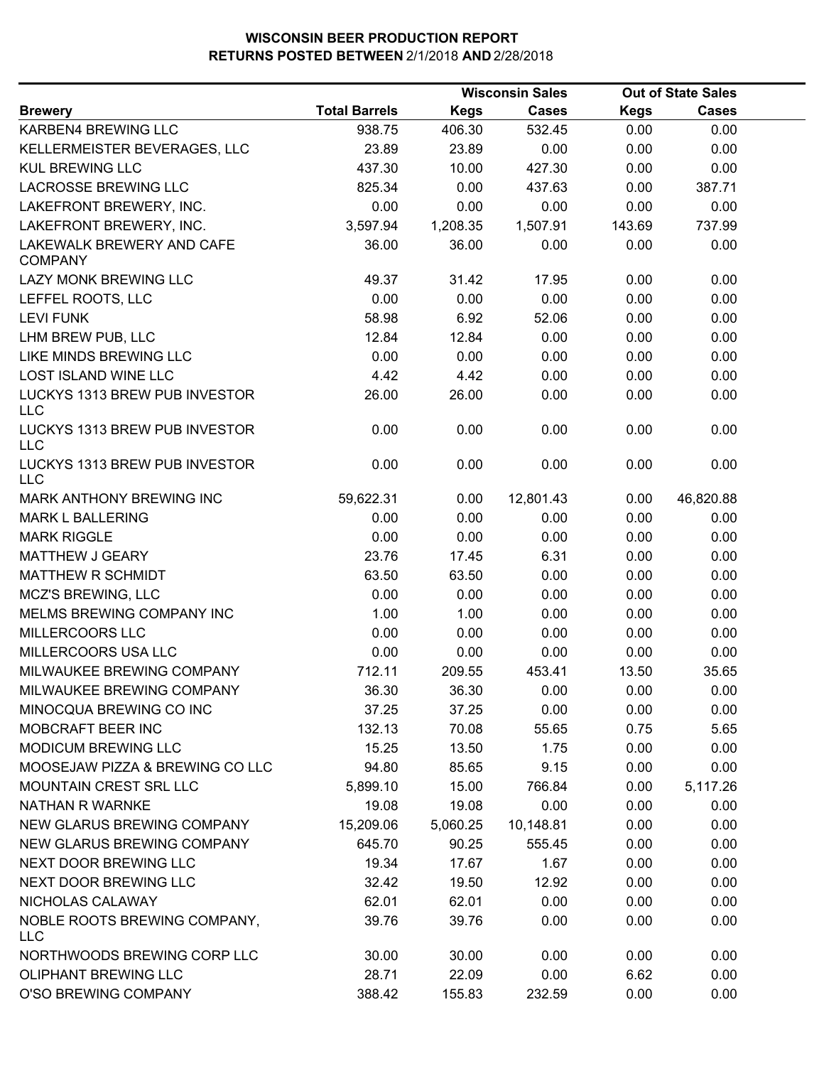|                                             |                      |             | <b>Wisconsin Sales</b> |             | <b>Out of State Sales</b> |  |
|---------------------------------------------|----------------------|-------------|------------------------|-------------|---------------------------|--|
| <b>Brewery</b>                              | <b>Total Barrels</b> | <b>Kegs</b> | <b>Cases</b>           | <b>Kegs</b> | Cases                     |  |
| KARBEN4 BREWING LLC                         | 938.75               | 406.30      | 532.45                 | 0.00        | 0.00                      |  |
| KELLERMEISTER BEVERAGES, LLC                | 23.89                | 23.89       | 0.00                   | 0.00        | 0.00                      |  |
| <b>KUL BREWING LLC</b>                      | 437.30               | 10.00       | 427.30                 | 0.00        | 0.00                      |  |
| <b>LACROSSE BREWING LLC</b>                 | 825.34               | 0.00        | 437.63                 | 0.00        | 387.71                    |  |
| LAKEFRONT BREWERY, INC.                     | 0.00                 | 0.00        | 0.00                   | 0.00        | 0.00                      |  |
| LAKEFRONT BREWERY, INC.                     | 3,597.94             | 1,208.35    | 1,507.91               | 143.69      | 737.99                    |  |
| LAKEWALK BREWERY AND CAFE<br><b>COMPANY</b> | 36.00                | 36.00       | 0.00                   | 0.00        | 0.00                      |  |
| <b>LAZY MONK BREWING LLC</b>                | 49.37                | 31.42       | 17.95                  | 0.00        | 0.00                      |  |
| LEFFEL ROOTS, LLC                           | 0.00                 | 0.00        | 0.00                   | 0.00        | 0.00                      |  |
| <b>LEVI FUNK</b>                            | 58.98                | 6.92        | 52.06                  | 0.00        | 0.00                      |  |
| LHM BREW PUB, LLC                           | 12.84                | 12.84       | 0.00                   | 0.00        | 0.00                      |  |
| LIKE MINDS BREWING LLC                      | 0.00                 | 0.00        | 0.00                   | 0.00        | 0.00                      |  |
| LOST ISLAND WINE LLC                        | 4.42                 | 4.42        | 0.00                   | 0.00        | 0.00                      |  |
| LUCKYS 1313 BREW PUB INVESTOR<br><b>LLC</b> | 26.00                | 26.00       | 0.00                   | 0.00        | 0.00                      |  |
| LUCKYS 1313 BREW PUB INVESTOR<br><b>LLC</b> | 0.00                 | 0.00        | 0.00                   | 0.00        | 0.00                      |  |
| LUCKYS 1313 BREW PUB INVESTOR<br><b>LLC</b> | 0.00                 | 0.00        | 0.00                   | 0.00        | 0.00                      |  |
| MARK ANTHONY BREWING INC                    | 59,622.31            | 0.00        | 12,801.43              | 0.00        | 46,820.88                 |  |
| <b>MARK L BALLERING</b>                     | 0.00                 | 0.00        | 0.00                   | 0.00        | 0.00                      |  |
| <b>MARK RIGGLE</b>                          | 0.00                 | 0.00        | 0.00                   | 0.00        | 0.00                      |  |
| MATTHEW J GEARY                             | 23.76                | 17.45       | 6.31                   | 0.00        | 0.00                      |  |
| MATTHEW R SCHMIDT                           | 63.50                | 63.50       | 0.00                   | 0.00        | 0.00                      |  |
| MCZ'S BREWING, LLC                          | 0.00                 | 0.00        | 0.00                   | 0.00        | 0.00                      |  |
| MELMS BREWING COMPANY INC                   | 1.00                 | 1.00        | 0.00                   | 0.00        | 0.00                      |  |
| MILLERCOORS LLC                             | 0.00                 | 0.00        | 0.00                   | 0.00        | 0.00                      |  |
| MILLERCOORS USA LLC                         | 0.00                 | 0.00        | 0.00                   | 0.00        | 0.00                      |  |
| MILWAUKEE BREWING COMPANY                   | 712.11               | 209.55      | 453.41                 | 13.50       | 35.65                     |  |
| MILWAUKEE BREWING COMPANY                   | 36.30                | 36.30       | 0.00                   | 0.00        | 0.00                      |  |
| MINOCQUA BREWING CO INC                     | 37.25                | 37.25       | 0.00                   | 0.00        | 0.00                      |  |
| MOBCRAFT BEER INC                           | 132.13               | 70.08       | 55.65                  | 0.75        | 5.65                      |  |
| <b>MODICUM BREWING LLC</b>                  | 15.25                | 13.50       | 1.75                   | 0.00        | 0.00                      |  |
| MOOSEJAW PIZZA & BREWING CO LLC             | 94.80                | 85.65       | 9.15                   | 0.00        | 0.00                      |  |
| MOUNTAIN CREST SRL LLC                      | 5,899.10             | 15.00       | 766.84                 | 0.00        | 5,117.26                  |  |
| NATHAN R WARNKE                             | 19.08                | 19.08       | 0.00                   | 0.00        | 0.00                      |  |
| NEW GLARUS BREWING COMPANY                  | 15,209.06            | 5,060.25    | 10,148.81              | 0.00        | 0.00                      |  |
| NEW GLARUS BREWING COMPANY                  | 645.70               | 90.25       | 555.45                 | 0.00        | 0.00                      |  |
| NEXT DOOR BREWING LLC                       | 19.34                | 17.67       | 1.67                   | 0.00        | 0.00                      |  |
| NEXT DOOR BREWING LLC                       | 32.42                | 19.50       | 12.92                  | 0.00        | 0.00                      |  |
| NICHOLAS CALAWAY                            | 62.01                | 62.01       | 0.00                   | 0.00        | 0.00                      |  |
| NOBLE ROOTS BREWING COMPANY,<br><b>LLC</b>  | 39.76                | 39.76       | 0.00                   | 0.00        | 0.00                      |  |
| NORTHWOODS BREWING CORP LLC                 | 30.00                | 30.00       | 0.00                   | 0.00        | 0.00                      |  |
| <b>OLIPHANT BREWING LLC</b>                 | 28.71                | 22.09       | 0.00                   | 6.62        | 0.00                      |  |
| O'SO BREWING COMPANY                        | 388.42               | 155.83      | 232.59                 | 0.00        | 0.00                      |  |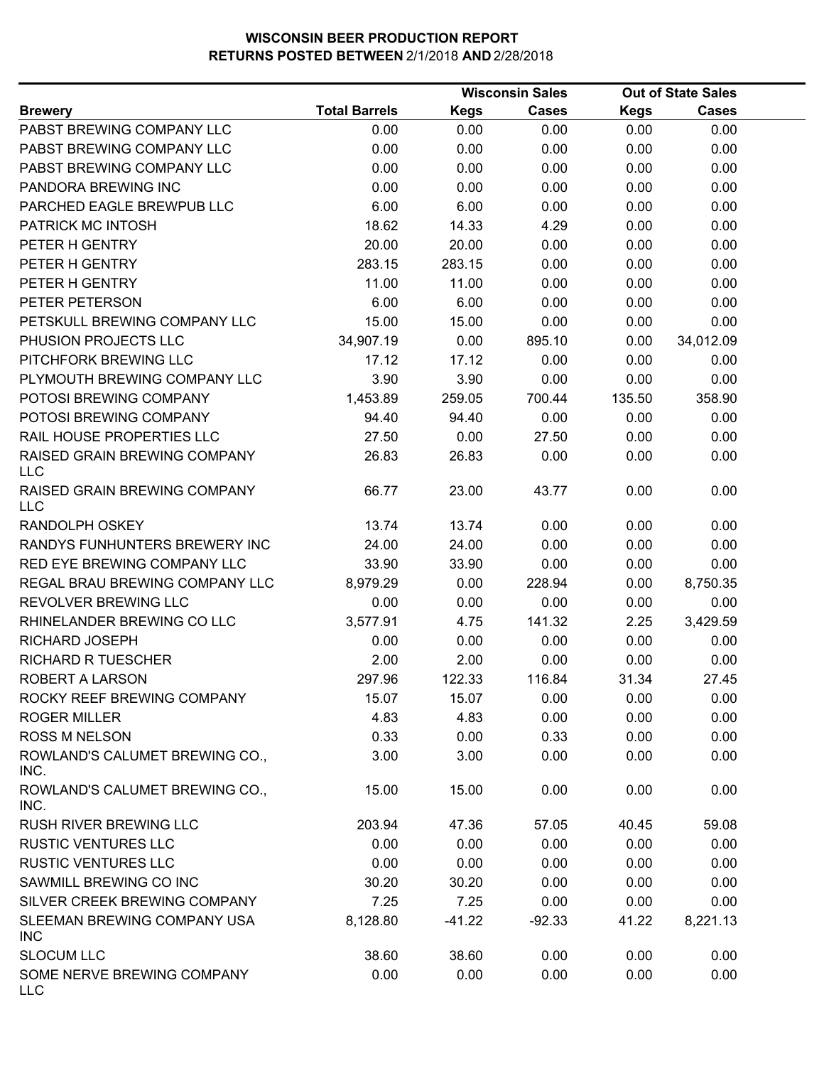|                                            |                      |             | <b>Wisconsin Sales</b> |             | <b>Out of State Sales</b> |  |
|--------------------------------------------|----------------------|-------------|------------------------|-------------|---------------------------|--|
| <b>Brewery</b>                             | <b>Total Barrels</b> | <b>Kegs</b> | Cases                  | <b>Kegs</b> | Cases                     |  |
| PABST BREWING COMPANY LLC                  | 0.00                 | 0.00        | 0.00                   | 0.00        | 0.00                      |  |
| PABST BREWING COMPANY LLC                  | 0.00                 | 0.00        | 0.00                   | 0.00        | 0.00                      |  |
| PABST BREWING COMPANY LLC                  | 0.00                 | 0.00        | 0.00                   | 0.00        | 0.00                      |  |
| PANDORA BREWING INC                        | 0.00                 | 0.00        | 0.00                   | 0.00        | 0.00                      |  |
| PARCHED EAGLE BREWPUB LLC                  | 6.00                 | 6.00        | 0.00                   | 0.00        | 0.00                      |  |
| PATRICK MC INTOSH                          | 18.62                | 14.33       | 4.29                   | 0.00        | 0.00                      |  |
| PETER H GENTRY                             | 20.00                | 20.00       | 0.00                   | 0.00        | 0.00                      |  |
| PETER H GENTRY                             | 283.15               | 283.15      | 0.00                   | 0.00        | 0.00                      |  |
| PETER H GENTRY                             | 11.00                | 11.00       | 0.00                   | 0.00        | 0.00                      |  |
| PETER PETERSON                             | 6.00                 | 6.00        | 0.00                   | 0.00        | 0.00                      |  |
| PETSKULL BREWING COMPANY LLC               | 15.00                | 15.00       | 0.00                   | 0.00        | 0.00                      |  |
| PHUSION PROJECTS LLC                       | 34,907.19            | 0.00        | 895.10                 | 0.00        | 34,012.09                 |  |
| PITCHFORK BREWING LLC                      | 17.12                | 17.12       | 0.00                   | 0.00        | 0.00                      |  |
| PLYMOUTH BREWING COMPANY LLC               | 3.90                 | 3.90        | 0.00                   | 0.00        | 0.00                      |  |
| POTOSI BREWING COMPANY                     | 1,453.89             | 259.05      | 700.44                 | 135.50      | 358.90                    |  |
| POTOSI BREWING COMPANY                     | 94.40                | 94.40       | 0.00                   | 0.00        | 0.00                      |  |
| RAIL HOUSE PROPERTIES LLC                  | 27.50                | 0.00        | 27.50                  | 0.00        | 0.00                      |  |
| RAISED GRAIN BREWING COMPANY<br><b>LLC</b> | 26.83                | 26.83       | 0.00                   | 0.00        | 0.00                      |  |
| RAISED GRAIN BREWING COMPANY<br><b>LLC</b> | 66.77                | 23.00       | 43.77                  | 0.00        | 0.00                      |  |
| RANDOLPH OSKEY                             | 13.74                | 13.74       | 0.00                   | 0.00        | 0.00                      |  |
| RANDYS FUNHUNTERS BREWERY INC              | 24.00                | 24.00       | 0.00                   | 0.00        | 0.00                      |  |
| RED EYE BREWING COMPANY LLC                | 33.90                | 33.90       | 0.00                   | 0.00        | 0.00                      |  |
| REGAL BRAU BREWING COMPANY LLC             | 8,979.29             | 0.00        | 228.94                 | 0.00        | 8,750.35                  |  |
| REVOLVER BREWING LLC                       | 0.00                 | 0.00        | 0.00                   | 0.00        | 0.00                      |  |
| RHINELANDER BREWING CO LLC                 | 3,577.91             | 4.75        | 141.32                 | 2.25        | 3,429.59                  |  |
| RICHARD JOSEPH                             | 0.00                 | 0.00        | 0.00                   | 0.00        | 0.00                      |  |
| <b>RICHARD R TUESCHER</b>                  | 2.00                 | 2.00        | 0.00                   | 0.00        | 0.00                      |  |
| ROBERT A LARSON                            | 297.96               | 122.33      | 116.84                 | 31.34       | 27.45                     |  |
| ROCKY REEF BREWING COMPANY                 | 15.07                | 15.07       | 0.00                   | 0.00        | 0.00                      |  |
| <b>ROGER MILLER</b>                        | 4.83                 | 4.83        | 0.00                   | 0.00        | 0.00                      |  |
| <b>ROSS M NELSON</b>                       | 0.33                 | 0.00        | 0.33                   | 0.00        | 0.00                      |  |
| ROWLAND'S CALUMET BREWING CO.,<br>INC.     | 3.00                 | 3.00        | 0.00                   | 0.00        | 0.00                      |  |
| ROWLAND'S CALUMET BREWING CO.,<br>INC.     | 15.00                | 15.00       | 0.00                   | 0.00        | 0.00                      |  |
| RUSH RIVER BREWING LLC                     | 203.94               | 47.36       | 57.05                  | 40.45       | 59.08                     |  |
| <b>RUSTIC VENTURES LLC</b>                 | 0.00                 | 0.00        | 0.00                   | 0.00        | 0.00                      |  |
| <b>RUSTIC VENTURES LLC</b>                 | 0.00                 | 0.00        | 0.00                   | 0.00        | 0.00                      |  |
| SAWMILL BREWING CO INC                     | 30.20                | 30.20       | 0.00                   | 0.00        | 0.00                      |  |
| SILVER CREEK BREWING COMPANY               | 7.25                 | 7.25        | 0.00                   | 0.00        | 0.00                      |  |
| SLEEMAN BREWING COMPANY USA<br><b>INC</b>  | 8,128.80             | $-41.22$    | $-92.33$               | 41.22       | 8,221.13                  |  |
| <b>SLOCUM LLC</b>                          | 38.60                | 38.60       | 0.00                   | 0.00        | 0.00                      |  |
| SOME NERVE BREWING COMPANY<br><b>LLC</b>   | 0.00                 | 0.00        | 0.00                   | 0.00        | 0.00                      |  |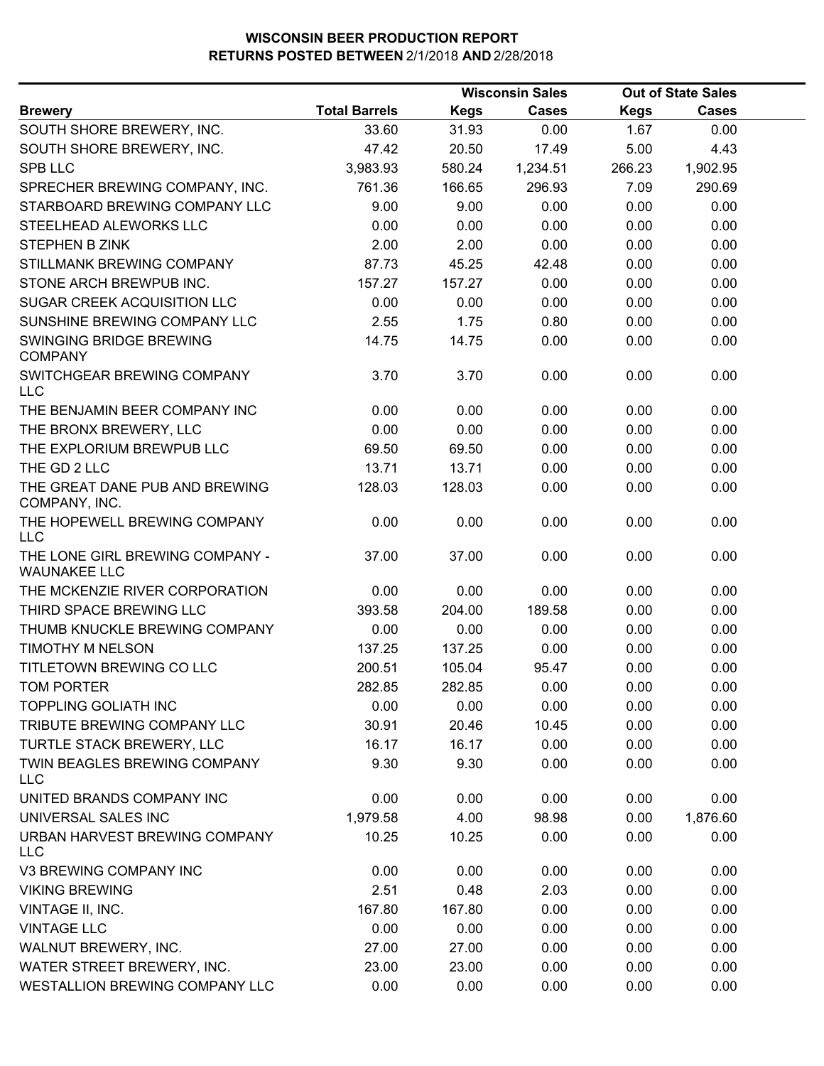|                                                        |                      |             | <b>Wisconsin Sales</b> |             | <b>Out of State Sales</b> |  |
|--------------------------------------------------------|----------------------|-------------|------------------------|-------------|---------------------------|--|
| <b>Brewery</b>                                         | <b>Total Barrels</b> | <b>Kegs</b> | <b>Cases</b>           | <b>Kegs</b> | <b>Cases</b>              |  |
| SOUTH SHORE BREWERY, INC.                              | 33.60                | 31.93       | 0.00                   | 1.67        | 0.00                      |  |
| SOUTH SHORE BREWERY, INC.                              | 47.42                | 20.50       | 17.49                  | 5.00        | 4.43                      |  |
| <b>SPB LLC</b>                                         | 3,983.93             | 580.24      | 1,234.51               | 266.23      | 1,902.95                  |  |
| SPRECHER BREWING COMPANY, INC.                         | 761.36               | 166.65      | 296.93                 | 7.09        | 290.69                    |  |
| STARBOARD BREWING COMPANY LLC                          | 9.00                 | 9.00        | 0.00                   | 0.00        | 0.00                      |  |
| STEELHEAD ALEWORKS LLC                                 | 0.00                 | 0.00        | 0.00                   | 0.00        | 0.00                      |  |
| <b>STEPHEN B ZINK</b>                                  | 2.00                 | 2.00        | 0.00                   | 0.00        | 0.00                      |  |
| STILLMANK BREWING COMPANY                              | 87.73                | 45.25       | 42.48                  | 0.00        | 0.00                      |  |
| STONE ARCH BREWPUB INC.                                | 157.27               | 157.27      | 0.00                   | 0.00        | 0.00                      |  |
| <b>SUGAR CREEK ACQUISITION LLC</b>                     | 0.00                 | 0.00        | 0.00                   | 0.00        | 0.00                      |  |
| SUNSHINE BREWING COMPANY LLC                           | 2.55                 | 1.75        | 0.80                   | 0.00        | 0.00                      |  |
| SWINGING BRIDGE BREWING<br><b>COMPANY</b>              | 14.75                | 14.75       | 0.00                   | 0.00        | 0.00                      |  |
| SWITCHGEAR BREWING COMPANY<br><b>LLC</b>               | 3.70                 | 3.70        | 0.00                   | 0.00        | 0.00                      |  |
| THE BENJAMIN BEER COMPANY INC                          | 0.00                 | 0.00        | 0.00                   | 0.00        | 0.00                      |  |
| THE BRONX BREWERY, LLC                                 | 0.00                 | 0.00        | 0.00                   | 0.00        | 0.00                      |  |
| THE EXPLORIUM BREWPUB LLC                              | 69.50                | 69.50       | 0.00                   | 0.00        | 0.00                      |  |
| THE GD 2 LLC                                           | 13.71                | 13.71       | 0.00                   | 0.00        | 0.00                      |  |
| THE GREAT DANE PUB AND BREWING<br>COMPANY, INC.        | 128.03               | 128.03      | 0.00                   | 0.00        | 0.00                      |  |
| THE HOPEWELL BREWING COMPANY<br><b>LLC</b>             | 0.00                 | 0.00        | 0.00                   | 0.00        | 0.00                      |  |
| THE LONE GIRL BREWING COMPANY -<br><b>WAUNAKEE LLC</b> | 37.00                | 37.00       | 0.00                   | 0.00        | 0.00                      |  |
| THE MCKENZIE RIVER CORPORATION                         | 0.00                 | 0.00        | 0.00                   | 0.00        | 0.00                      |  |
| THIRD SPACE BREWING LLC                                | 393.58               | 204.00      | 189.58                 | 0.00        | 0.00                      |  |
| THUMB KNUCKLE BREWING COMPANY                          | 0.00                 | 0.00        | 0.00                   | 0.00        | 0.00                      |  |
| <b>TIMOTHY M NELSON</b>                                | 137.25               | 137.25      | 0.00                   | 0.00        | 0.00                      |  |
| TITLETOWN BREWING CO LLC                               | 200.51               | 105.04      | 95.47                  | 0.00        | 0.00                      |  |
| <b>TOM PORTER</b>                                      | 282.85               | 282.85      | 0.00                   | 0.00        | 0.00                      |  |
| <b>TOPPLING GOLIATH INC</b>                            | 0.00                 | 0.00        | 0.00                   | 0.00        | 0.00                      |  |
| TRIBUTE BREWING COMPANY LLC                            | 30.91                | 20.46       | 10.45                  | 0.00        | 0.00                      |  |
| TURTLE STACK BREWERY, LLC                              | 16.17                | 16.17       | 0.00                   | 0.00        | 0.00                      |  |
| TWIN BEAGLES BREWING COMPANY<br><b>LLC</b>             | 9.30                 | 9.30        | 0.00                   | 0.00        | 0.00                      |  |
| UNITED BRANDS COMPANY INC                              | 0.00                 | 0.00        | 0.00                   | 0.00        | 0.00                      |  |
| UNIVERSAL SALES INC                                    | 1,979.58             | 4.00        | 98.98                  | 0.00        | 1,876.60                  |  |
| URBAN HARVEST BREWING COMPANY<br><b>LLC</b>            | 10.25                | 10.25       | 0.00                   | 0.00        | 0.00                      |  |
| V3 BREWING COMPANY INC                                 | 0.00                 | 0.00        | 0.00                   | 0.00        | 0.00                      |  |
| <b>VIKING BREWING</b>                                  | 2.51                 | 0.48        | 2.03                   | 0.00        | 0.00                      |  |
| VINTAGE II, INC.                                       | 167.80               | 167.80      | 0.00                   | 0.00        | 0.00                      |  |
| <b>VINTAGE LLC</b>                                     | 0.00                 | 0.00        | 0.00                   | 0.00        | 0.00                      |  |
| WALNUT BREWERY, INC.                                   | 27.00                | 27.00       | 0.00                   | 0.00        | 0.00                      |  |
| WATER STREET BREWERY, INC.                             | 23.00                | 23.00       | 0.00                   | 0.00        | 0.00                      |  |
| WESTALLION BREWING COMPANY LLC                         | 0.00                 | 0.00        | 0.00                   | 0.00        | 0.00                      |  |